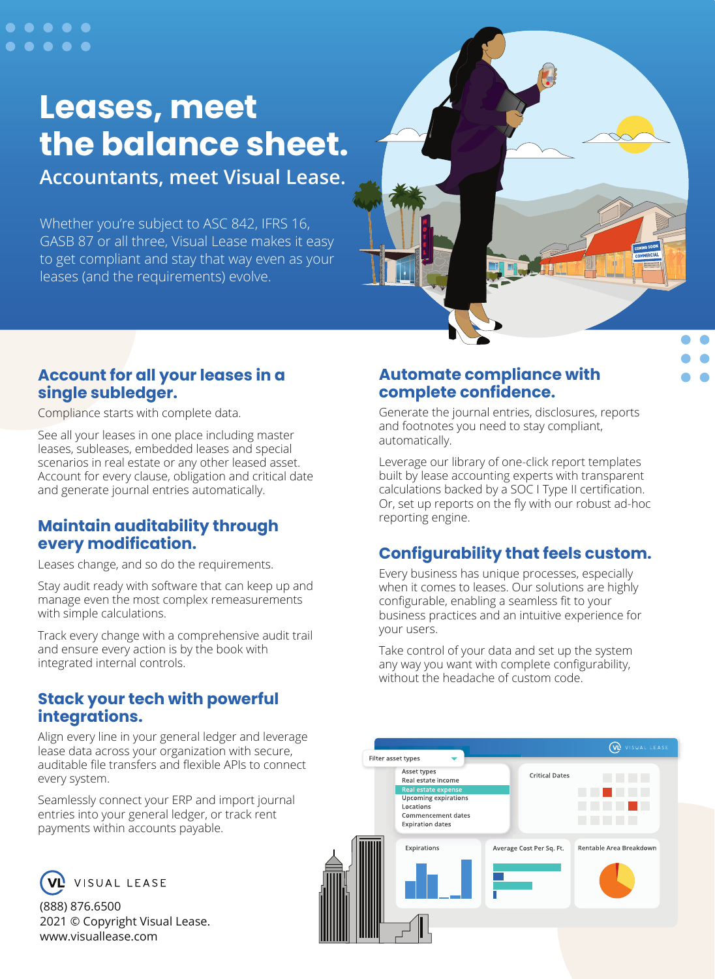#### $\bullet\bullet\bullet\bullet$  $\bullet\bullet\bullet\bullet$

## **Leases, meet the balance sheet. Accountants, meet Visual Lease.**

Whether you're subject to ASC 842, IFRS 16, GASB 87 or all three, Visual Lease makes it easy to get compliant and stay that way even as your leases (and the requirements) evolve.



#### **Account for all your leases in a single subledger.**

Compliance starts with complete data.

See all your leases in one place including master leases, subleases, embedded leases and special scenarios in real estate or any other leased asset. Account for every clause, obligation and critical date and generate journal entries automatically.

#### **Maintain auditability through every modification.**

Leases change, and so do the requirements.

Stay audit ready with software that can keep up and manage even the most complex remeasurements with simple calculations.

Track every change with a comprehensive audit trail and ensure every action is by the book with integrated internal controls.

#### **Stack your tech with powerful integrations.**

Align every line in your general ledger and leverage lease data across your organization with secure, auditable file transfers and flexible APIs to connect every system.

Seamlessly connect your ERP and import journal entries into your general ledger, or track rent payments within accounts payable.



(888) 876.6500 2021 © Copyright Visual Lease. www.visuallease.com

#### **Automate compliance with complete confidence.**

Generate the journal entries, disclosures, reports and footnotes you need to stay compliant, automatically.

Leverage our library of one-click report templates built by lease accounting experts with transparent calculations backed by a SOC I Type II certification. Or, set up reports on the fly with our robust ad-hoc reporting engine.

#### **Configurability that feels custom.**

Every business has unique processes, especially when it comes to leases. Our solutions are highly configurable, enabling a seamless fit to your business practices and an intuitive experience for your users.

Take control of your data and set up the system any way you want with complete configurability, without the headache of custom code.